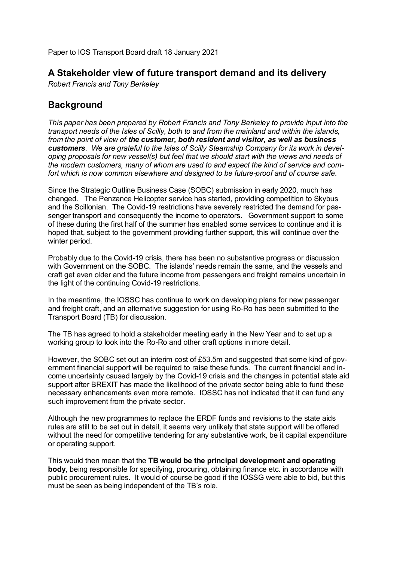Paper to IOS Transport Board draft 18 January 2021

# **A Stakeholder view of future transport demand and its delivery**

*Robert Francis and Tony Berkeley*

# **Background**

*This paper has been prepared by Robert Francis and Tony Berkeley to provide input into the transport needs of the Isles of Scilly, both to and from the mainland and within the islands, from the point of view of the customer, both resident and visitor, as well as business customers. We are grateful to the Isles of Scilly Steamship Company for its work in developing proposals for new vessel(s) but feel that we should start with the views and needs of the modern customers, many of whom are used to and expect the kind of service and comfort which is now common elsewhere and designed to be future-proof and of course safe.*

Since the Strategic Outline Business Case (SOBC) submission in early 2020, much has changed. The Penzance Helicopter service has started, providing competition to Skybus and the Scillonian. The Covid-19 restrictions have severely restricted the demand for passenger transport and consequently the income to operators. Government support to some of these during the first half of the summer has enabled some services to continue and it is hoped that, subject to the government providing further support, this will continue over the winter period.

Probably due to the Covid-19 crisis, there has been no substantive progress or discussion with Government on the SOBC. The islands' needs remain the same, and the vessels and craft get even older and the future income from passengers and freight remains uncertain in the light of the continuing Covid-19 restrictions.

In the meantime, the IOSSC has continue to work on developing plans for new passenger and freight craft, and an alternative suggestion for using Ro-Ro has been submitted to the Transport Board (TB) for discussion.

The TB has agreed to hold a stakeholder meeting early in the New Year and to set up a working group to look into the Ro-Ro and other craft options in more detail.

However, the SOBC set out an interim cost of £53.5m and suggested that some kind of government financial support will be required to raise these funds. The current financial and income uncertainty caused largely by the Covid-19 crisis and the changes in potential state aid support after BREXIT has made the likelihood of the private sector being able to fund these necessary enhancements even more remote. IOSSC has not indicated that it can fund any such improvement from the private sector.

Although the new programmes to replace the ERDF funds and revisions to the state aids rules are still to be set out in detail, it seems very unlikely that state support will be offered without the need for competitive tendering for any substantive work, be it capital expenditure or operating support.

This would then mean that the **TB would be the principal development and operating body**, being responsible for specifying, procuring, obtaining finance etc. in accordance with public procurement rules. It would of course be good if the IOSSG were able to bid, but this must be seen as being independent of the TB's role.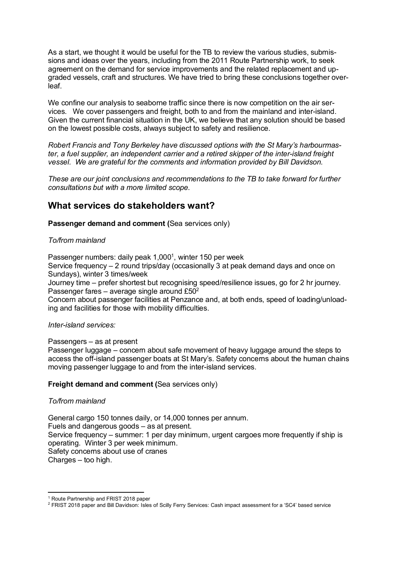As a start, we thought it would be useful for the TB to review the various studies, submissions and ideas over the years, including from the 2011 Route Partnership work, to seek agreement on the demand for service improvements and the related replacement and upgraded vessels, craft and structures. We have tried to bring these conclusions together overleaf.

We confine our analysis to seaborne traffic since there is now competition on the air services. We cover passengers and freight, both to and from the mainland and inter-island. Given the current financial situation in the UK, we believe that any solution should be based on the lowest possible costs, always subject to safety and resilience.

*Robert Francis and Tony Berkeley have discussed options with the St Mary's harbourmaster, a fuel supplier, an independent carrier and a retired skipper of the inter-island freight vessel. We are grateful for the comments and information provided by Bill Davidson.*

*These are our joint conclusions and recommendations to the TB to take forward for further consultations but with a more limited scope.* 

# **What services do stakeholders want?**

**Passenger demand and comment (**Sea services only)

## *To/from mainland*

Passenger numbers: daily peak 1,000<sup>1</sup>, winter 150 per week

Service frequency – 2 round trips/day (occasionally 3 at peak demand days and once on Sundays), winter 3 times/week

Journey time – prefer shortest but recognising speed/resilience issues, go for 2 hr journey. Passenger fares – average single around  $£50<sup>2</sup>$ 

Concern about passenger facilities at Penzance and, at both ends, speed of loading/unloading and facilities for those with mobility difficulties.

## *Inter-island services:*

Passengers – as at present

Passenger luggage – concern about safe movement of heavy luggage around the steps to access the off-island passenger boats at St Mary's. Safety concerns about the human chains moving passenger luggage to and from the inter-island services.

## **Freight demand and comment (**Sea services only)

## *To/from mainland*

General cargo 150 tonnes daily, or 14,000 tonnes per annum. Fuels and dangerous goods – as at present. Service frequency – summer: 1 per day minimum, urgent cargoes more frequently if ship is operating. Winter 3 per week minimum. Safety concerns about use of cranes Charges – too high.

<sup>1</sup> Route Partnership and FRIST 2018 paper

<sup>2</sup> FRIST 2018 paper and Bill Davidson: Isles of Scilly Ferry Services: Cash impact assessment for a 'SC4' based service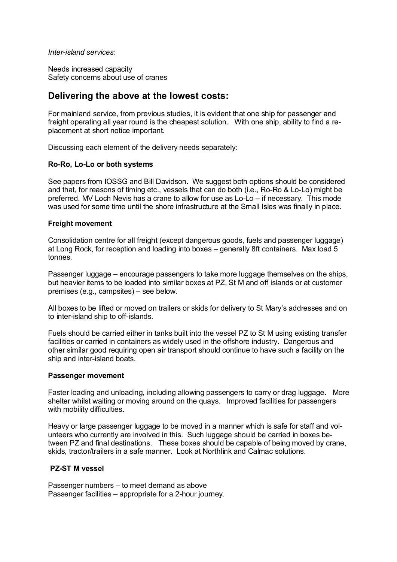*Inter-island services:*

Needs increased capacity Safety concerns about use of cranes

## **Delivering the above at the lowest costs:**

For mainland service, from previous studies, it is evident that one ship for passenger and freight operating all year round is the cheapest solution. With one ship, ability to find a replacement at short notice important.

Discussing each element of the delivery needs separately:

#### **Ro-Ro, Lo-Lo or both systems**

See papers from IOSSG and Bill Davidson. We suggest both options should be considered and that, for reasons of timing etc., vessels that can do both (i.e., Ro-Ro & Lo-Lo) might be preferred. MV Loch Nevis has a crane to allow for use as Lo-Lo – if necessary. This mode was used for some time until the shore infrastructure at the Small Isles was finally in place.

#### **Freight movement**

Consolidation centre for all freight (except dangerous goods, fuels and passenger luggage) at Long Rock, for reception and loading into boxes – generally 8ft containers. Max load 5 tonnes.

Passenger luggage – encourage passengers to take more luggage themselves on the ships, but heavier items to be loaded into similar boxes at PZ, St M and off islands or at customer premises (e.g., campsites) – see below.

All boxes to be lifted or moved on trailers or skids for delivery to St Mary's addresses and on to inter-island ship to off-islands.

Fuels should be carried either in tanks built into the vessel PZ to St M using existing transfer facilities or carried in containers as widely used in the offshore industry. Dangerous and other similar good requiring open air transport should continue to have such a facility on the ship and inter-island boats.

#### **Passenger movement**

Faster loading and unloading, including allowing passengers to carry or drag luggage. More shelter whilst waiting or moving around on the quays. Improved facilities for passengers with mobility difficulties.

Heavy or large passenger luggage to be moved in a manner which is safe for staff and volunteers who currently are involved in this. Such luggage should be carried in boxes between PZ and final destinations. These boxes should be capable of being moved by crane, skids, tractor/trailers in a safe manner. Look at Northlink and Calmac solutions.

## **PZ-ST M vessel**

Passenger numbers – to meet demand as above Passenger facilities – appropriate for a 2-hour journey.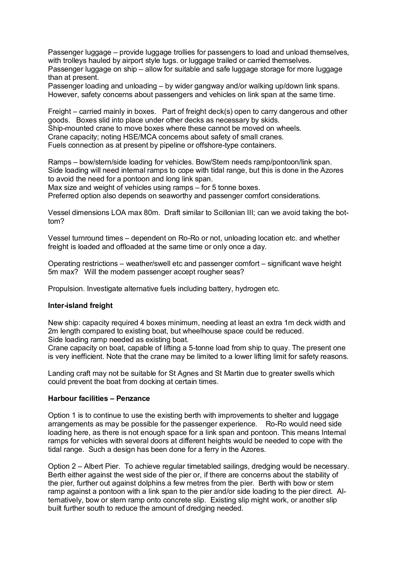Passenger luggage – provide luggage trollies for passengers to load and unload themselves, with trolleys hauled by airport style tugs. or luggage trailed or carried themselves.

Passenger luggage on ship – allow for suitable and safe luggage storage for more luggage than at present.

Passenger loading and unloading – by wider gangway and/or walking up/down link spans. However, safety concerns about passengers and vehicles on link span at the same time.

Freight – carried mainly in boxes. Part of freight deck(s) open to carry dangerous and other goods. Boxes slid into place under other decks as necessary by skids.

Ship-mounted crane to move boxes where these cannot be moved on wheels.

Crane capacity; noting HSE/MCA concerns about safety of small cranes.

Fuels connection as at present by pipeline or offshore-type containers.

Ramps – bow/stern/side loading for vehicles. Bow/Stern needs ramp/pontoon/link span. Side loading will need internal ramps to cope with tidal range, but this is done in the Azores to avoid the need for a pontoon and long link span.

Max size and weight of vehicles using ramps – for 5 tonne boxes.

Preferred option also depends on seaworthy and passenger comfort considerations.

Vessel dimensions LOA max 80m. Draft similar to Scillonian III; can we avoid taking the bottom?

Vessel turnround times – dependent on Ro-Ro or not, unloading location etc. and whether freight is loaded and offloaded at the same time or only once a day.

Operating restrictions – weather/swell etc and passenger comfort – significant wave height 5m max? Will the modern passenger accept rougher seas?

Propulsion. Investigate alternative fuels including battery, hydrogen etc.

## **Inter-island freight**

New ship: capacity required 4 boxes minimum, needing at least an extra 1m deck width and 2m length compared to existing boat, but wheelhouse space could be reduced. Side loading ramp needed as existing boat.

Crane capacity on boat, capable of lifting a 5-tonne load from ship to quay. The present one

is very inefficient. Note that the crane may be limited to a lower lifting limit for safety reasons.

Landing craft may not be suitable for St Agnes and St Martin due to greater swells which could prevent the boat from docking at certain times.

## **Harbour facilities – Penzance**

Option 1 is to continue to use the existing berth with improvements to shelter and luggage arrangements as may be possible for the passenger experience. Ro-Ro would need side loading here, as there is not enough space for a link span and pontoon. This means Internal ramps for vehicles with several doors at different heights would be needed to cope with the tidal range. Such a design has been done for a ferry in the Azores.

Option 2 – Albert Pier. To achieve regular timetabled sailings, dredging would be necessary. Berth either against the west side of the pier or, if there are concerns about the stability of the pier, further out against dolphins a few metres from the pier. Berth with bow or stern ramp against a pontoon with a link span to the pier and/or side loading to the pier direct. Alternatively, bow or stern ramp onto concrete slip. Existing slip might work, or another slip built further south to reduce the amount of dredging needed.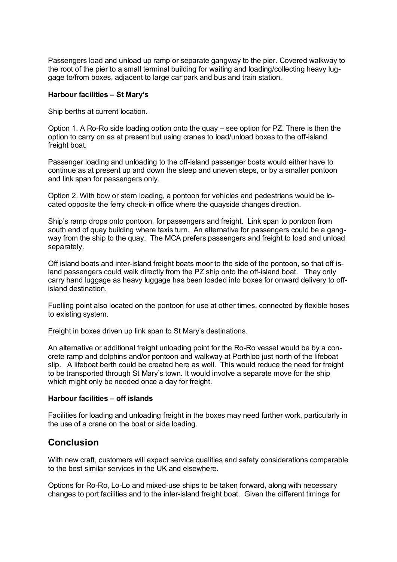Passengers load and unload up ramp or separate gangway to the pier. Covered walkway to the root of the pier to a small terminal building for waiting and loading/collecting heavy luggage to/from boxes, adjacent to large car park and bus and train station.

#### **Harbour facilities – St Mary's**

Ship berths at current location.

Option 1. A Ro-Ro side loading option onto the quay – see option for PZ. There is then the option to carry on as at present but using cranes to load/unload boxes to the off-island freight boat.

Passenger loading and unloading to the off-island passenger boats would either have to continue as at present up and down the steep and uneven steps, or by a smaller pontoon and link span for passengers only.

Option 2. With bow or stern loading, a pontoon for vehicles and pedestrians would be located opposite the ferry check-in office where the quayside changes direction.

Ship's ramp drops onto pontoon, for passengers and freight. Link span to pontoon from south end of quay building where taxis turn. An alternative for passengers could be a gangway from the ship to the quay. The MCA prefers passengers and freight to load and unload separately.

Off island boats and inter-island freight boats moor to the side of the pontoon, so that off island passengers could walk directly from the PZ ship onto the off-island boat. They only carry hand luggage as heavy luggage has been loaded into boxes for onward delivery to offisland destination.

Fuelling point also located on the pontoon for use at other times, connected by flexible hoses to existing system.

Freight in boxes driven up link span to St Mary's destinations.

An alternative or additional freight unloading point for the Ro-Ro vessel would be by a concrete ramp and dolphins and/or pontoon and walkway at Porthloo just north of the lifeboat slip. A lifeboat berth could be created here as well. This would reduce the need for freight to be transported through St Mary's town. It would involve a separate move for the ship which might only be needed once a day for freight.

#### **Harbour facilities – off islands**

Facilities for loading and unloading freight in the boxes may need further work, particularly in the use of a crane on the boat or side loading.

## **Conclusion**

With new craft, customers will expect service qualities and safety considerations comparable to the best similar services in the UK and elsewhere.

Options for Ro-Ro, Lo-Lo and mixed-use ships to be taken forward, along with necessary changes to port facilities and to the inter-island freight boat. Given the different timings for